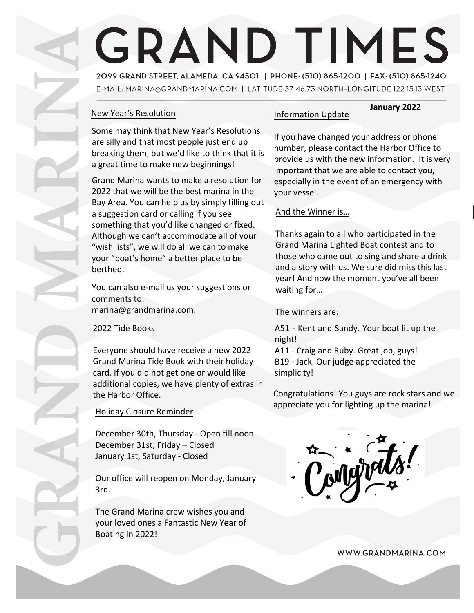# **GRAND TIMES**

2099 GRAND STREET, ALAMEDA, CA 94501 | PHONE: (510) 865-1200 | FAX: (510) 865-1240 E-MAIL: MARINA @GRANDMARINA.COM | LATITUDE 37 46.73 NORTH-LONGITUDE 122 15.13 WEST

# New Year's Resolution

Some may think that New Year's Resolutions are silly and that most people just end up breaking them, but we'd like to think that it is a great time to make new beginnings!

Grand Marina wants to make a resolution for 2022 that we will be the best marina in the Bay Area. You can help us by simply filling out a suggestion card or calling if you see something that you'd like changed or fixed. Although we can't accommodate all of your "wish lists", we will do all we can to make your "boat's home" a better place to be berthed.

You can also e-mail us your suggestions or comments to: marina@grandmarina.com.

### 2022 Tide Books

Everyone should have receive a new 2022 Grand Marina Tide Book with their holiday card. If you did not get one or would like additional copies, we have plenty of extras in the Harbor Office.

### Holiday Closure Reminder

December 30th, Thursday - Open till noon December 31st, Friday – Closed January 1st, Saturday - Closed

Our office will reopen on Monday, January 3rd.

The Grand Marina crew wishes you and your loved ones a Fantastic New Year of Boating in 2022!

# Information Update

If you have changed your address or phone number, please contact the Harbor Office to provide us with the new information. It is very important that we are able to contact you, especially in the event of an emergency with your vessel.

**January 2022**

#### And the Winner is…

Thanks again to all who participated in the Grand Marina Lighted Boat contest and to those who came out to sing and share a drink and a story with us. We sure did miss this last year! And now the moment you've all been waiting for…

The winners are:

A51 - Kent and Sandy. Your boat lit up the night!

A11 - Craig and Ruby. Great job, guys! B19 - Jack. Our judge appreciated the simplicity!

Congratulations! You guys are rock stars and we appreciate you for lighting up the marina!



WWW.GRANDMARINA.COM